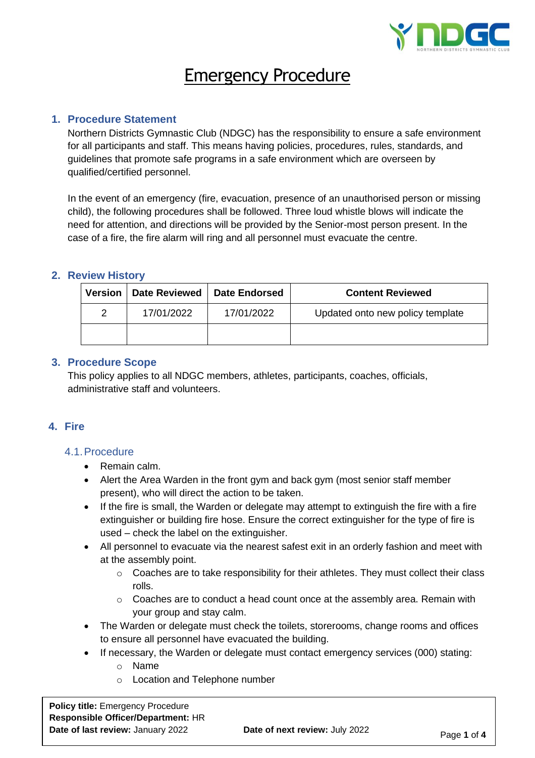

# Emergency Procedure

## **1. Procedure Statement**

Northern Districts Gymnastic Club (NDGC) has the responsibility to ensure a safe environment for all participants and staff. This means having policies, procedures, rules, standards, and guidelines that promote safe programs in a safe environment which are overseen by qualified/certified personnel.

In the event of an emergency (fire, evacuation, presence of an unauthorised person or missing child), the following procedures shall be followed. Three loud whistle blows will indicate the need for attention, and directions will be provided by the Senior-most person present. In the case of a fire, the fire alarm will ring and all personnel must evacuate the centre.

## **2. Review History**

| <b>Version</b> | Date Reviewed | <b>Date Endorsed</b> | <b>Content Reviewed</b>          |
|----------------|---------------|----------------------|----------------------------------|
| 2              | 17/01/2022    | 17/01/2022           | Updated onto new policy template |
|                |               |                      |                                  |

## **3. Procedure Scope**

This policy applies to all NDGC members, athletes, participants, coaches, officials, administrative staff and volunteers.

## **4. Fire**

#### 4.1.Procedure

- Remain calm.
- Alert the Area Warden in the front gym and back gym (most senior staff member present), who will direct the action to be taken.
- If the fire is small, the Warden or delegate may attempt to extinguish the fire with a fire extinguisher or building fire hose. Ensure the correct extinguisher for the type of fire is used – check the label on the extinguisher.
- All personnel to evacuate via the nearest safest exit in an orderly fashion and meet with at the assembly point.
	- o Coaches are to take responsibility for their athletes. They must collect their class rolls.
	- o Coaches are to conduct a head count once at the assembly area. Remain with your group and stay calm.
- The Warden or delegate must check the toilets, storerooms, change rooms and offices to ensure all personnel have evacuated the building.
- If necessary, the Warden or delegate must contact emergency services (000) stating:
	- o Name
	- o Location and Telephone number

**Policy title:** Emergency Procedure **Responsible Officer/Department:** HR **Date of last review:** January 2022 **Date of next review:** July 2022 **Page 1 of 4**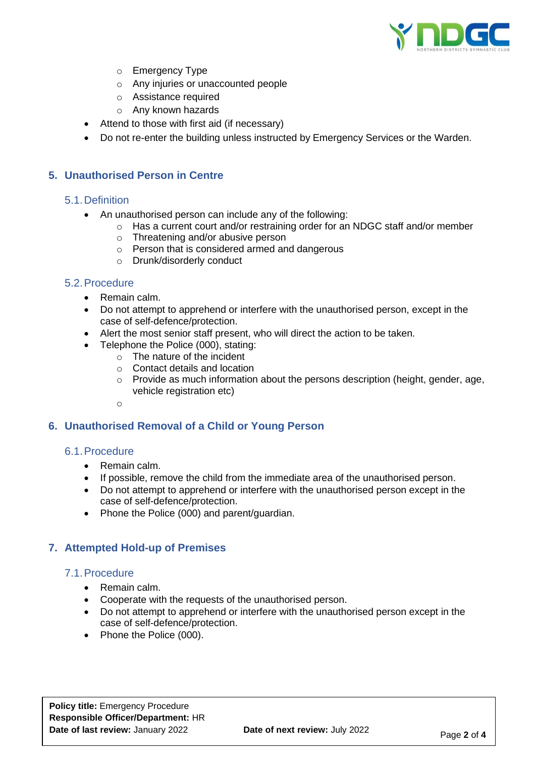

- o Emergency Type
- o Any injuries or unaccounted people
- o Assistance required
- o Any known hazards
- Attend to those with first aid (if necessary)
- Do not re-enter the building unless instructed by Emergency Services or the Warden.

## **5. Unauthorised Person in Centre**

#### 5.1.Definition

- An unauthorised person can include any of the following:
	- o Has a current court and/or restraining order for an NDGC staff and/or member
	- o Threatening and/or abusive person
	- o Person that is considered armed and dangerous
	- o Drunk/disorderly conduct

#### 5.2.Procedure

- Remain calm.
- Do not attempt to apprehend or interfere with the unauthorised person, except in the case of self-defence/protection.
- Alert the most senior staff present, who will direct the action to be taken.
- Telephone the Police (000), stating:
	- $\circ$  The nature of the incident
		- o Contact details and location
		- o Provide as much information about the persons description (height, gender, age, vehicle registration etc)

o

## **6. Unauthorised Removal of a Child or Young Person**

#### 6.1.Procedure

- Remain calm.
- If possible, remove the child from the immediate area of the unauthorised person.
- Do not attempt to apprehend or interfere with the unauthorised person except in the case of self-defence/protection.
- Phone the Police (000) and parent/guardian.

## **7. Attempted Hold-up of Premises**

#### 7.1.Procedure

- Remain calm.
- Cooperate with the requests of the unauthorised person.
- Do not attempt to apprehend or interfere with the unauthorised person except in the case of self-defence/protection.
- Phone the Police (000).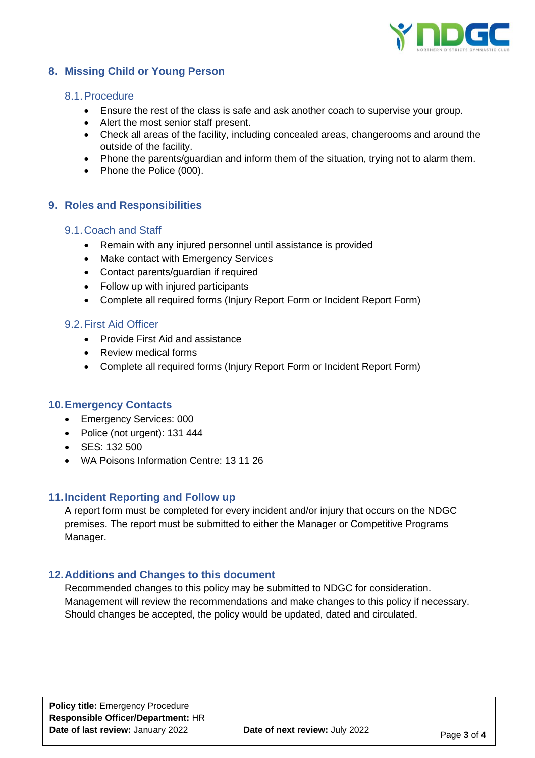

# **8. Missing Child or Young Person**

#### 8.1.Procedure

- Ensure the rest of the class is safe and ask another coach to supervise your group.
- Alert the most senior staff present.
- Check all areas of the facility, including concealed areas, changerooms and around the outside of the facility.
- Phone the parents/guardian and inform them of the situation, trying not to alarm them.
- Phone the Police (000).

## **9. Roles and Responsibilities**

#### 9.1.Coach and Staff

- Remain with any injured personnel until assistance is provided
- Make contact with Emergency Services
- Contact parents/guardian if required
- Follow up with injured participants
- Complete all required forms (Injury Report Form or Incident Report Form)

#### 9.2.First Aid Officer

- Provide First Aid and assistance
- Review medical forms
- Complete all required forms (Injury Report Form or Incident Report Form)

#### **10.Emergency Contacts**

- Emergency Services: 000
- Police (not urgent): 131 444
- SES: 132 500
- WA Poisons Information Centre: 13 11 26

#### **11.Incident Reporting and Follow up**

A report form must be completed for every incident and/or injury that occurs on the NDGC premises. The report must be submitted to either the Manager or Competitive Programs Manager.

#### **12.Additions and Changes to this document**

Recommended changes to this policy may be submitted to NDGC for consideration. Management will review the recommendations and make changes to this policy if necessary. Should changes be accepted, the policy would be updated, dated and circulated.